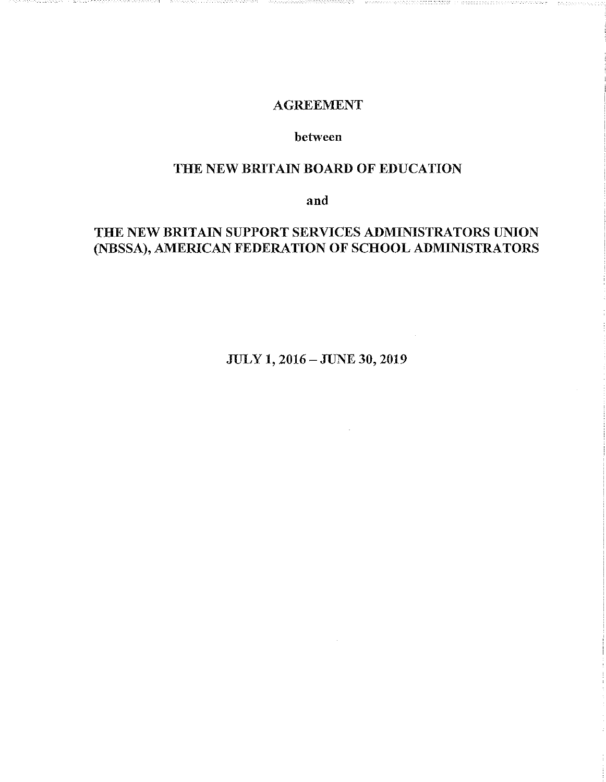# AGREEMENT

## between

# THE NEW BRITAIN BOARD OF EDUCATION

**and** 

# THE NEW BRITAIN SUPPORT SERVICES ADMINISTRATORS UNION (NBSSA), AMERICAN FEDERATION OF SCHOOL ADMINISTRATORS

JULY 1, 2016 - JUNE 30, 2019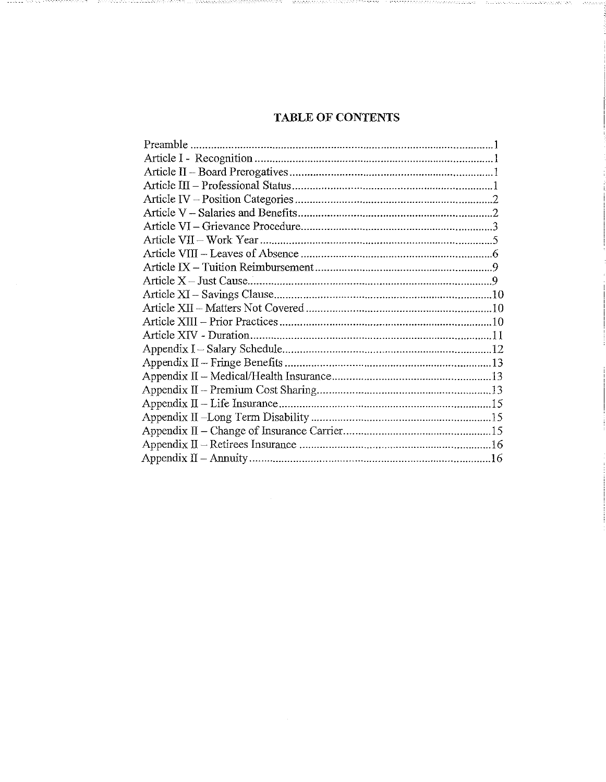# **TABLE OF CONTENTS**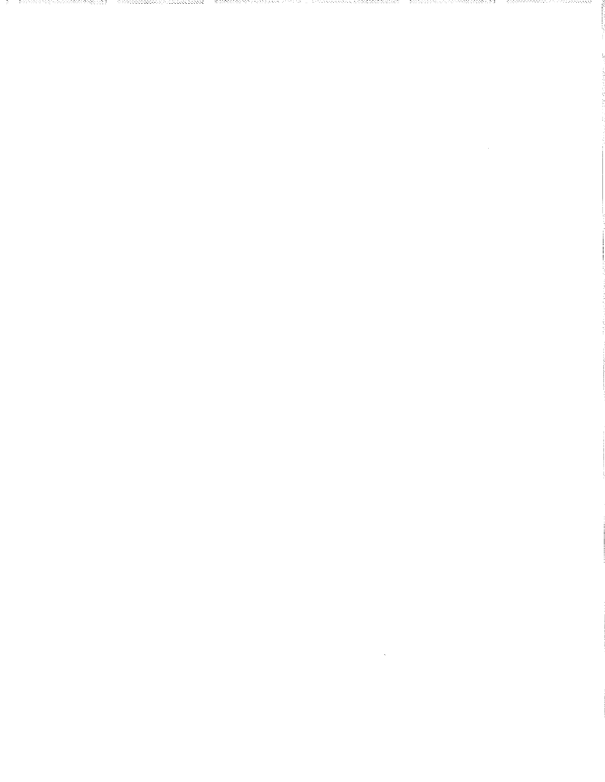$\label{eq:2.1} \frac{1}{\sqrt{2}}\left(\frac{1}{\sqrt{2}}\right)^{2} \left(\frac{1}{\sqrt{2}}\right)^{2} \left(\frac{1}{\sqrt{2}}\right)^{2} \left(\frac{1}{\sqrt{2}}\right)^{2} \left(\frac{1}{\sqrt{2}}\right)^{2} \left(\frac{1}{\sqrt{2}}\right)^{2} \left(\frac{1}{\sqrt{2}}\right)^{2} \left(\frac{1}{\sqrt{2}}\right)^{2} \left(\frac{1}{\sqrt{2}}\right)^{2} \left(\frac{1}{\sqrt{2}}\right)^{2} \left(\frac{1}{\sqrt{2}}\right)^{2} \left(\$ 

 $\label{eq:2.1} \frac{1}{\sqrt{2\pi}}\int_{0}^{\infty}\frac{1}{\sqrt{2\pi}}\left(\frac{1}{\sqrt{2\pi}}\right)^{2\alpha} \frac{1}{\sqrt{2\pi}}\int_{0}^{\infty}\frac{1}{\sqrt{2\pi}}\left(\frac{1}{\sqrt{2\pi}}\right)^{\alpha} \frac{1}{\sqrt{2\pi}}\frac{1}{\sqrt{2\pi}}\int_{0}^{\infty}\frac{1}{\sqrt{2\pi}}\frac{1}{\sqrt{2\pi}}\frac{1}{\sqrt{2\pi}}\frac{1}{\sqrt{2\pi}}\frac{1}{\sqrt{2\pi}}\frac{1}{\sqrt{2\$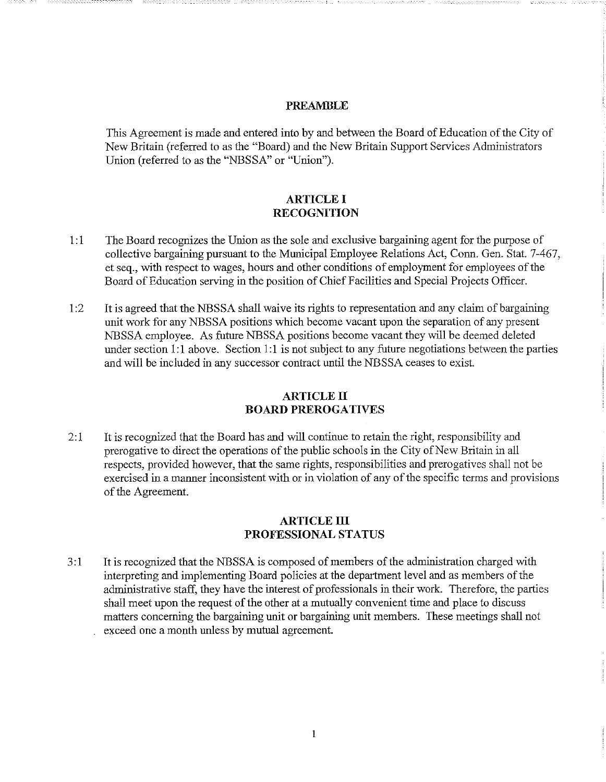#### PREAMBLE

This Agreement is made and entered into by and between the Board of Education of the City of New Britain (referred to as the "Board) and the New Britain Support Services Administrators Union (referred to as the "NBSSA" or "Union").

## **ARTICLE I** RECOGNITION

- 1: 1 The Board recognizes the Union as the sole and exclusive bargaining agent for the purpose of collective bargaining pursuant to the Municipal Employee Relations Act, Conn. Gen. Stat. 7-467, et seq., with respect to wages, hours and other conditions of employment for employees of the Board of Education serving in the position of Chief Facilities and Special Projects Officer.
- 1:2 It is agreed that the NBSSA shall waive its rights to representation and any claim of bargaining unit work for any NBSSA positions which become vacant upon the separation of any present NBSSA employee. As future NBSSA positions become vacant they will be deemed deleted under section 1:1 above. Section 1:1 is not subject to any future negotiations between the parties and will be included in any successor contract until the NBSSA ceases to exist

## ARTICLE II BOARD PREROGATIVES

2:1 It is recognized that the Board has and will continue to retain the right, responsibility and prerogative to direct the operations of the public schools in the City of New Britain in all respects, provided however, that the same rights, responsibilities and prerogatives shall not be exercised in a marmer inconsistent with or in violation of any of the specific terms and provisions of the Agreement

## ARTICLE III PROFESSIONAL STATUS

3:1 It is recognized that the NBSSA is composed of members of the administration charged with interpreting and implementing Board policies at the department level and as members of the administrative staff, they have the interest of professionals in their work. Therefore, the parties shall meet upon the request of the other at a mutually convenient time and place to discuss matters concerning the bargaining unit or bargaining unit members. These meetings shall not exceed one a month unless by mutual agreement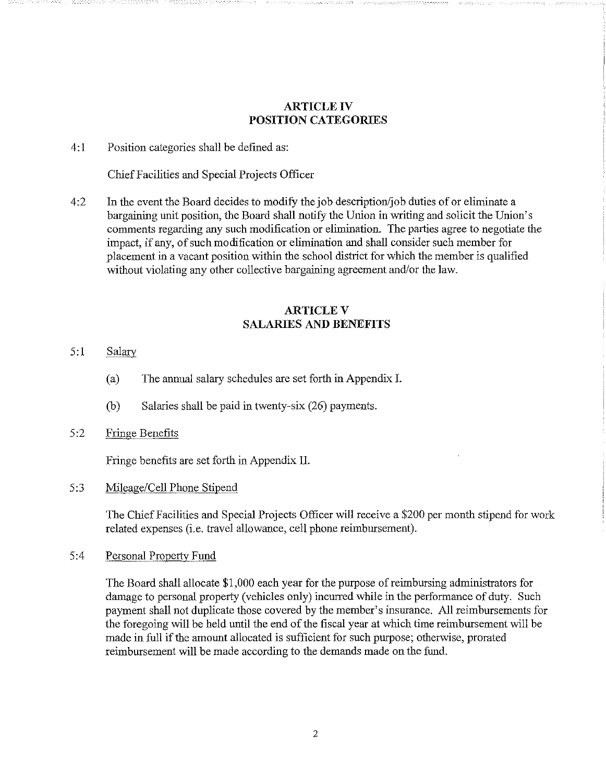## ARTICLE IV **POSITION CATEGORIES**

4:1 Position categories shall be defined as:

Chief Facilities and Special Projects Officer

4:2 In the event the Board decides to modifY the job description/job duties of or eliminate a bargaining unit position, the Board shall notify the Union in writing and solicit the Union's comments regarding any such modification or elimination. The parties agree to negotiate the impact, if any, of such modification or elimination and shall consider such member for placement in a vacant position within the school district for which the member is qualified without violating any other collective bargaining agreement and/or the law.

## ARTICLE V **SALARIES AND BENEFITS**

- 5:1 Salary
	- (a) The annual salary schedules are set forth in Appendix L
	- (b) Salaries shall be paid in twenty-six (26) payments.
- 5:2 Fringe Benefits

Fringe benefits are set forth in Appendix II.

5:3 Mileage/Cell Phone Stipend

The Chief Facilities and Special Projects Officer will receive a \$200 per month stipend for work related expenses (i.e. travel allowance, cell phone reimbursement).

5:4 Personal Property Fund

The Board shall allocate \$1,000 each year for the purpose of reimbursing administrators for damage to personal property (vehicles only) incurred while in the performance of duty. Such payment shall not duplicate those covered by the member's insurance. **All** reimbursements for the foregoing will be held until the end of the fiscal year at which time reimbursement will be made in full if the amount allocated is sufficient for such purpose; otberwise, prorated reimbursement will be made according to the demands made on the fund.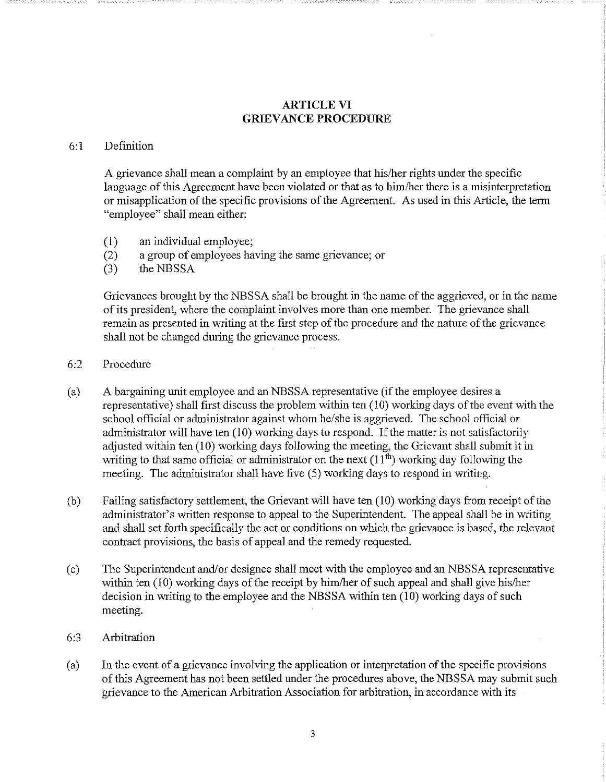## ARTICLE VI GRIEVANCE PROCEDURE

## 6:1 Definition

A grievance shall mean a complaint by an employee that bislher rights under the specific language of this Agreement have been violated or that as to him/her there is a misinterpretation or misapplication of the specific provisions of the Agreement. As used in tbis Article, the term "employee" shall mean either:

- (1) an individual employee;
- (2) a group of employees having the same grievance; or
- (3) the NBSSA

Grievances brought by the NBSSA shall be brought in the name of the aggrieved, or in the name of its president, where the complaint involves more than one member. The grievance shall remain as presented in writing at the first step of the procedure and the nature of the grievance shall not be changed during the grievance process.

- 6:2 Procedure
- (a) A bargaining unit employee and an NBSSA representative (if the employee desires a representative) shall first discuss the problem witbin ten (10) working days of the event with the school official or administrator against whom he/she is aggrieved. The school official or administrator will have ten (10) working days to respond. If the matter is not satisfactorily adjusted within ten (10) working days following the meeting, the Grievant shall submit it in writing to that same official or administrator on the next  $(11<sup>th</sup>)$  working day following the meeting. The administrator shall have five (5) working days to respond in writing.
- (b) Failing satisfactory settlement, the Grievant will have ten (10) working days from receipt of the administrator's written response to appeal to the Superintendent. The appeal shall be in writing and shall set forth specifically the act or conditions on wbich the grievance is based, the relevant contract provisions, the basis of appeal and the remedy requested.
- (c) The Superintendent and/or designee shall meet with the employee and an NBSSA representative within ten (10) working days of the receipt by him/her of such appeal and shall give his/her decision in writing to the employee and the NBSSA witbin ten (10) working days of such meeting.
- 6:3 Arbitration
- (a) In the event of a grievance involving the application or interpretation of the specific provisions of this Agreement has not been settled under the procedures above, the NBSSA may submit such grievance to the American Arbitration Association for arbitration, in accordance with its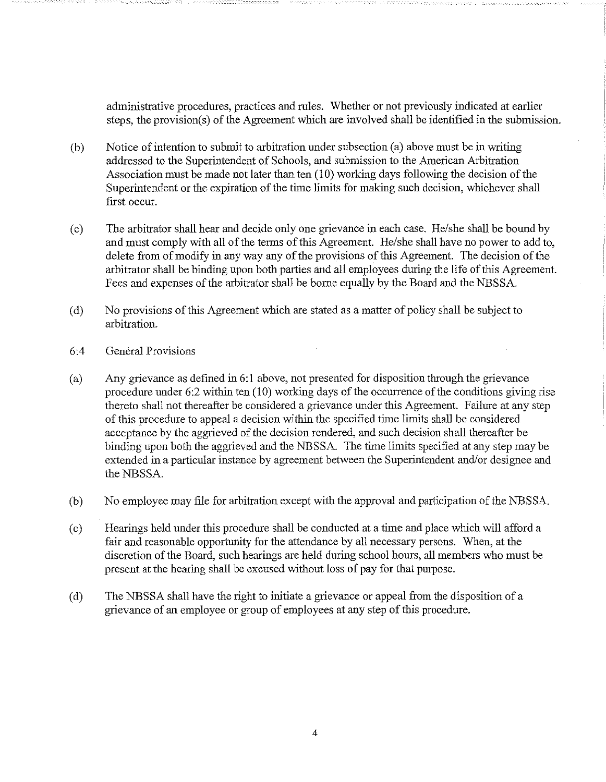administrative procedures, practices and rules. Whether or not previously indicated at earlier steps, the provision(s) of the Agreement which are involved shall be identified in the submission.

- (b) Notice of intention to submit to arbitration under subsection (a) above must be in writing addressed to the Superintendent of Schools, and submission to the American Arbitration Association must be made not later than ten (10) working days following the decision of the Superintendent or the expiration of the time limits for making such decision, whichever shall first occur.
- (c) The arbitrator shall hear and decide only one grievance in each case. He/she shall be bound by and must comply with all of the terms of this Agreement. He/she shall have no power to add to, delete from of modify in any way any of the provisions of this Agreement. The decision of the arbitrator shall be binding upon both parties and all employees during the life of this Agreement. Fees and expenses of the arbitrator shall be borne equally by the Board and the NBSSA.
- (d) No provisions of this Agreement which are stated as a matter of policy shall be subject to arbitration.
- 6:4 General Provisions
- (a) Any grievance as defined in 6:1 above, not presented for disposition through the grievance procedure under 6:2 within ten (10) working days of the occurrence of the conditions giving rise thereto shall not thereafter be considered a grievance under this Agreement. Failure at any step of this procedure to appeal a decision within the specified time limits shall be considered acceptance by the aggrieved of the decision rendered, and such decision shall thereafter be binding upon both the aggrieved and the NBSSA. The time limits specified at any step may be extended in a particular instance by agreement between the Superintendent and/or designee and the NBSSA.
- (b) No employee may file for arbitration except with the approval and participation of the NBS SA.
- (c) Hearings held under this procedure shall be conducted at a time and place which will afford a fair and reasonable opportunity for the attendance by all necessary persons. When, at the discretion of the Board, such hearings are held during school hours, all members who must be present at the hearing shall be excused without loss of pay for that purpose.
- (d) The NBSSA shall have the right to initiate a grievance or appeal from the disposition of a grievance of an employee or group of employees at any step of this procedure.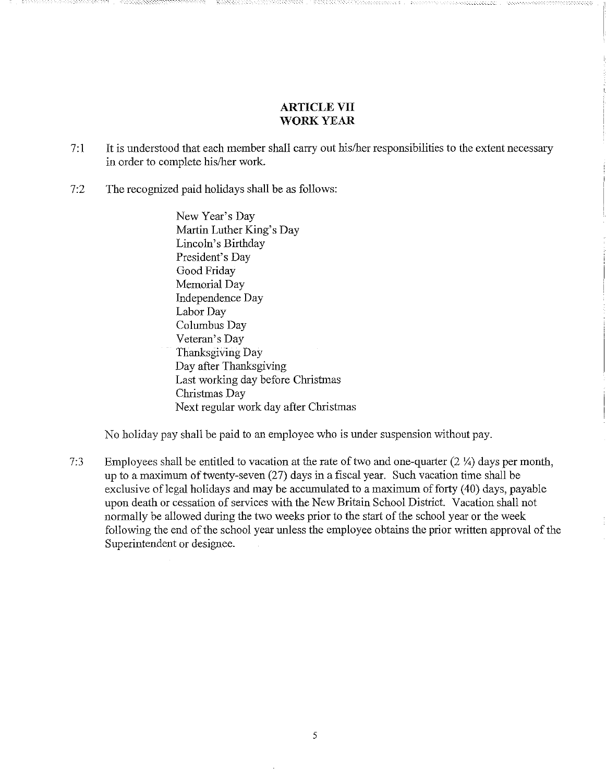## **ARTICLE VII** WORK YEAR

- 7: I It is understood that each member shall carry out his/her responsibilities to the extent necessary in order to complete his/her work.
- 7:2 The recognized paid holidays shall be as follows:

New Year's Day Martin Luther King's Day Lincoln's Birthday President's Day Good Friday Memorial Day Independence Day Labor Day Columbus Day Veteran's Day Thanksgiving Day Day after Thanksgiving Last working day before Christmas Christmas Day Next regular work day after Christmas

No holiday pay shall be paid to an employee who is under suspension without pay.

7:3 Employees shall be entitled to vacation at the rate of two and one-quarter  $(2 \frac{1}{4})$  days per month, up to a maximum of twenty-seven (27) days in a fiscal year. Such vacation time shall be exclusive of legal holidays and may be accumulated to a maximum of forty (40) days, payable upon death or cessation of services with the New Britain School District. Vacation shall not normally be allowed during the two weeks prior to the start of the school year or the week following the end of the school year unless the employee obtains the prior written approval of the Superintendent or designee.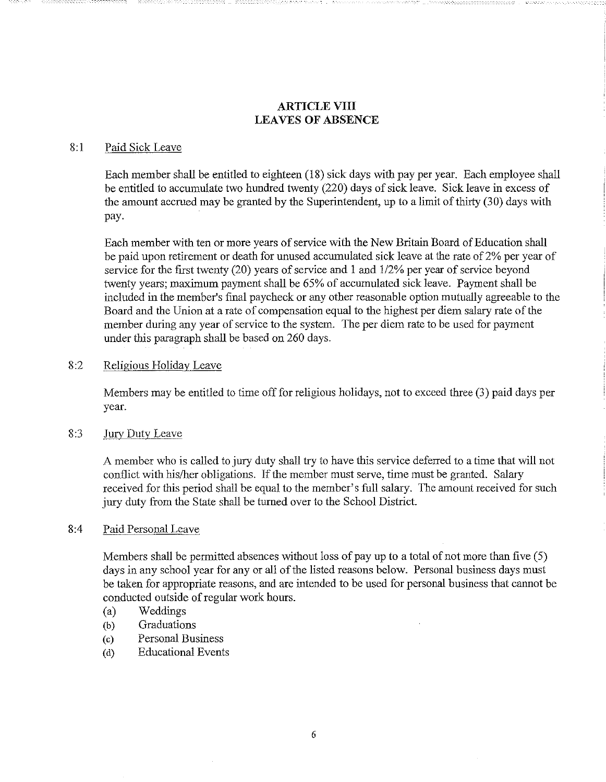## **ARTICLE VIII** LEAVES **OF** ABSENCE

#### 8:1 Paid Sick Leave

Each member shall be entitled to eighteen (18) sick days with pay per year. Each employee shall be entitled to accumulate two hundred twenty (220) days of sick leave. Sick leave in excess of the amount accrued may be granted by the Superintendent, up to a limit of thirty (30) days with pay.

Each member with ten or more years of service with the New Britain Board of Education shall be paid upon retirement or death for unused accumulated sick leave at the rate of 2% per year of service for the first twenty (20) years of service and 1 and 1/2% per year of service beyond twenty years; maximum payment shall be 65% of accumulated sick leave. Payment shall be included in the member's final paycheck or any other reasonable option mutually agreeable to the Board and the Union at a rate of compensation equal to the highest per diem salary rate of the member during any year of service to the system. The per diem rate to be used for payment under this paragraph shall be based on 260 days.

#### 8:2 Religious Holiday Leave

Members may be entitled to time off for religious holidays, not to exceed three (3) paid days per year.

#### 8:3 Jury Duty Leave

A member who is called to jury duty shall try to have this service deferred to a time that will not conflict with hislher obligations. If the member must serve, time must be granted. Salary received for this period shall be equal to the member's full salary. The amount received for such jury duty from the State shall be turned over to the School District.

#### 8:4 Paid Personal Leave

Members shall be permitted absences without loss of pay up to a total of not more than five (5) days in any school year for any or all of the listed reasons below. Personal business days must be taken for appropriate reasons, and are intended to be used for personal business that cannot be conducted outside of regular work hours.

- (a) Weddings
- (b) Graduations
- (e) Personal Business
- (d) Educational Events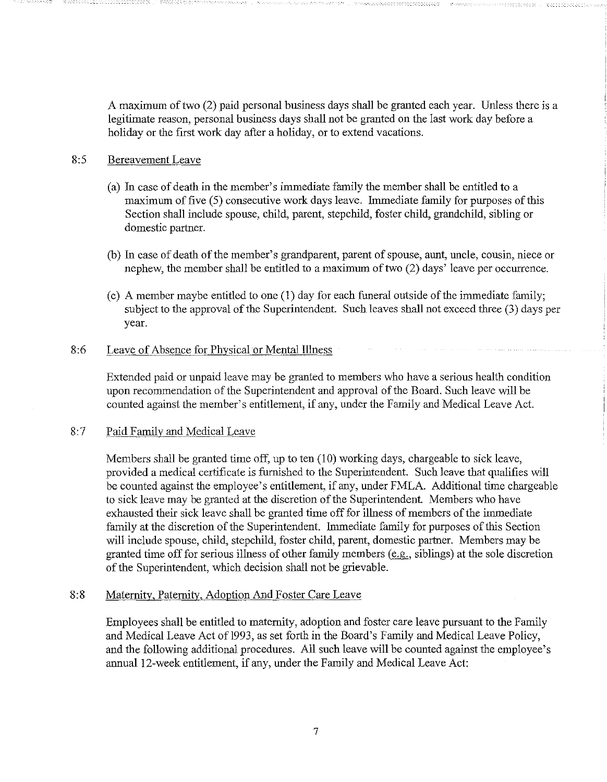A maximum of two (2) paid personal business days shall be granted each year. Unless there is a legitimate reason, personal business days shall not be granted on the last work day before a holiday or the first work day after a holiday, or to extend vacations.

## 8:5 Bereavement Leave

- (a) In case of death in the member's immediate family the member shall be entitled to a maximum of five (5) consecutive work days leave. Immediate family for purposes of this Section shall include spouse, child, parent, stepchild, foster child, grandchild, sibling or domestic partner.
- (b) In case of death of the member's grandparent, parent of spouse, aunt, uncle, cousin, niece or nephew, the member shall be entitled to a maximum of two (2) days' leave per occurrence.
- (c) A member maybe entitled to one (1) day for each funeral outside of the immediate family; subject to the approval of the Superintendent. Such leaves shall not exceed three (3) days per year.

#### 8:6 Leave of Absence for Physical or Mental Illness

Extended paid or unpaid leave may be granted to members who have a serious health condition upon recommendation of the Superintendent and approval of the Board. Such leave will be counted against the member's entitlement, if any, under the Family and Medical Leave Act.

#### 8:7 Paid Family and Medical Leave

Members shall be granted time off, up to ten (10) working days, chargeable to sick leave, provided a medical certificate is furnished to the Superintendent. Such leave that qualifies will be counted against the employee's entitlement, if any, under FMLA. Additional time chargeable to sick leave may be granted at the discretion of the Superintendent. Members who have exhausted their sick leave shall be granted time off for illness of members of the immediate family at the discretion of the Superintendent. Immediate family for purposes of this Section will include spouse, child, stepchild, foster child, parent, domestic partner. Members may be granted time off for serious illness of other family members (e.g., siblings) at the sole discretion of the Superintendent, which decision shall not be grievable.

#### 8:8 Maternity, Paternity, Adoption And Foster Care Leave

Employees shall be entitled to maternity, adoption and foster care leave pursuant to the Family and Medical Leave Act of 1993, as set forth in the Board's Family and Medical Leave Policy, and the following additional procedures. All such leave will be counted against the employee's annual 12-week entitlement, if any, under the Family and Medical Leave Act: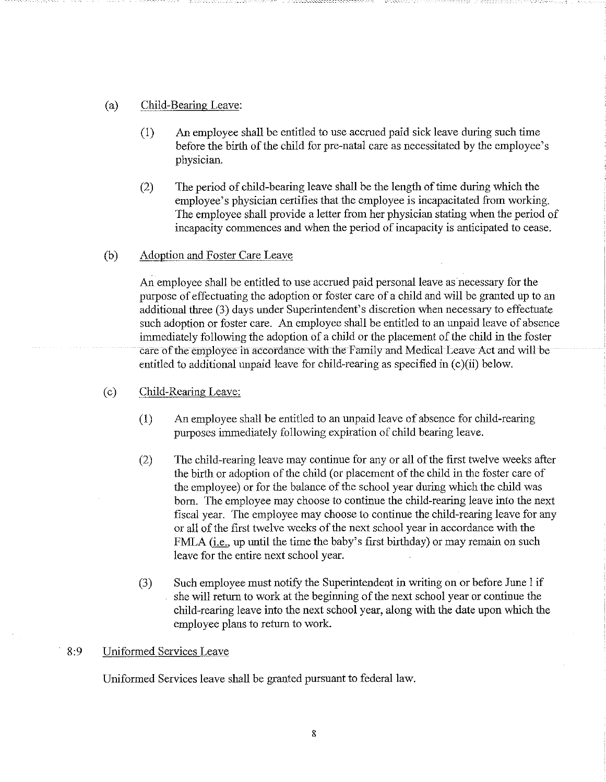#### (a) Child-Bearing Leave:

- (l) An employee shall be entitled to use accrued paid sick leave during such time before the birth of the child for pre-natal care as necessitated by the employee's physician.
- (2) The period of child-bearing leave shall be the length of time during which the employee's physician certifies that the employee is incapacitated from working. The employee shall provide a letter from her physician stating when the period of incapacity commences and when the period of incapacity is anticipated to cease.
- (b) Adoption and Foster Care Leave

An employee shall be entitled to use accrued paid personal leave as necessary for the purpose of effectuating the adoption or foster care of a child and will be granted up to an additional three (3) days under Superintendent's discretion when necessary to effectuate such adoption or foster care. An employee shall be entitled to an unpaid leave of absence immediately following the adoption of a child or the placement of the child in the foster care of the employee in accordance with the Family and Medical Leave Act and will be entitled to additional unpaid leave for child-rearing as specified in  $(c)(ii)$  below.

- (c) Child-Rearing Leave:
	- (l) An employee shall be entitled to an unpaid leave of absence for child-rearing purposes immediately following expiration of child bearing leave.
	- (2) The child-rearing leave may continue for any or all of the first twelve weeks after the birth or adoption of the child (or placement of the child in the foster care of the employee) or for the balance of the school year during which the child was born. The employee may choose to continue the child-rearing leave into the next fiscal year. The employee may choose to continue the child-rearing leave for any or all of the first twelve weeks of the next school year in accordance with the FMLA (i.e., up until the time the baby's first birthday) or may remain on such leave for the entire next school year.
	- (3) Such employee must notify the Superintendent in writing on or before June I if she will return to work at the beginning of the next school year or continue the child-rearing leave into the next school year, along with the date upon which the employee plans to return to work.

#### 8:9 Uniformed Services Leave

Uniformed Services leave shall be granted pursuant to federal law.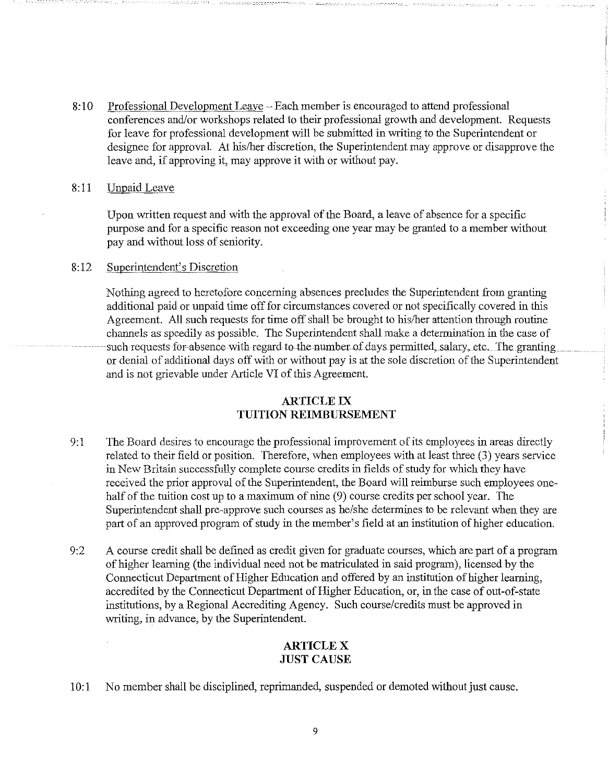8:10 Professional Development Leave – Each member is encouraged to attend professional conferences and/or workshops related to their professional growth and development. Requests for leave for professional development will be submitted in writing to the Superintendent or designee for approval. At his/her discretion, the Superintendent may approve or disapprove the leave and, if approving it, may approve it with or without pay.

#### 8: 11 Unpaid Leave

Upon written request and with the approval of the Board, a leave of absence for a specific purpose and for a specific reason not exceeding one year may be granted to a member without pay and without loss of seniority.

#### 8:12 Superintendent's Discretion

Nothing agreed to heretofore concerning absences precludes the Superintendent from granting additional paid or unpaid time off for circumstances covered or not specifically covered in this Agreement. All such requests for time off shall be brought to his/her attention through routine channels as speedily as possible. The Superintendent shall make a determination in the case of such requests for absence with regard to the number of days permitted, salary, etc. The granting or denial of additional days off with or without pay is at the sole discretion of the Superintendent and is not grievable under Article VI of this Agreement.

## ARTICLE IX **TIDTION REIMBURSEMENT**

- 9: 1 The Board desires to encourage the professional improvement of its employees in areas directly related to their field or position. Therefore, when employees with at least three (3) years service in New Britain successfully complete course credits in fields of study for which they have received the prior approval of the Superintendent, the Board will reimburse such employees onehalf of the tuition cost up to a maximum of nine (9) course credits per school year. The Superintendent shall pre-approve such courses as he/she determines to be relevant when they are part of an approved program of study in the member's field at an institution of higher education.
- 9:2 A course credit shall be defined as credit given for graduate courses, which are part of a program of higher learning (the individual need not be matriculated in said program), licensed by the Connecticut Department of Higher Education and offered by an institution of higher learning, accredited by the Connecticut Department of Higher Education, or, in the case of out-of-state institutions, by a Regional Accrediting Agency. Such course/credits must be approved in writing, in advance, by the Superintendent.

## ARTICLE X JUST CAUSE

10:1 No member shall be disciplined, reprimanded, suspended or demoted without just cause.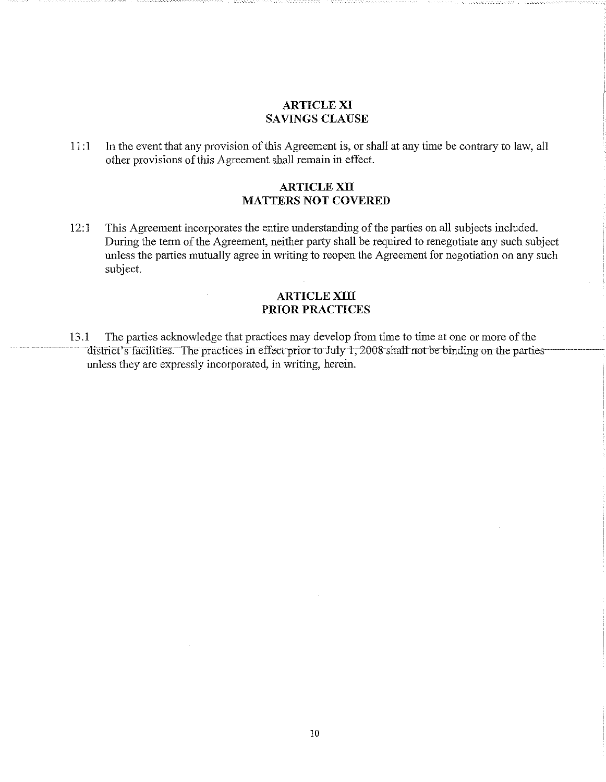## ARTICLE XI **SAVINGS CLAUSE**

11: 1 **In** the event that any provision of this Agreement is, or shall at any time be contrary to law, all other provisions of this Agreement shall remain in effect.

## ARTICLE XII MATTERS NOT COVERED

12:1 This Agreement incorporates the entire understanding of the parties on all subjects included. During the term of the Agreement, neither party shall be required to renegotiate any such subject unless the parties mutually agree in writing to reopen the Agreement for negotiation on any such subject.

## **ARTICLE XIII PRIOR PRACTICES**

13.1 The parties acknowledge that practices may develop from time to time at one or more of the district's facilities. The practices in effect prior to July  $1,2008$  shall not be binding on the parties unless they are expressly incorporated, in writing, berein.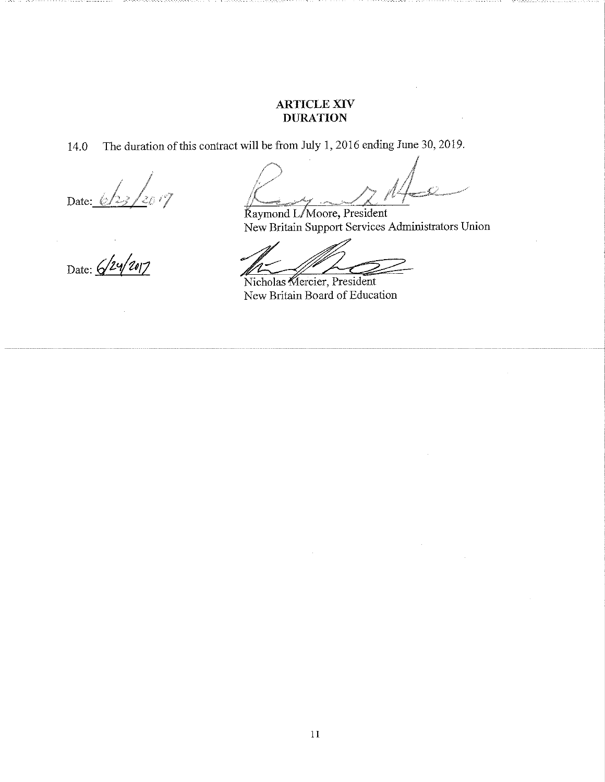## ARTICLE XIV **DURATION**

14.0 The duration of this contract will be from July 1,2016 ending June 30, 2019.

Date:  $6/23/20.17$ <br>Date:  $6/24/2017$ 

 $\bigcap$  ,  $\bigcap$  $K \rightarrow \chi N/2$ 

Raymond L/Moore, President New Britain Support Services Administrators Union

Nicholas Mercier, President New Britain Board of Education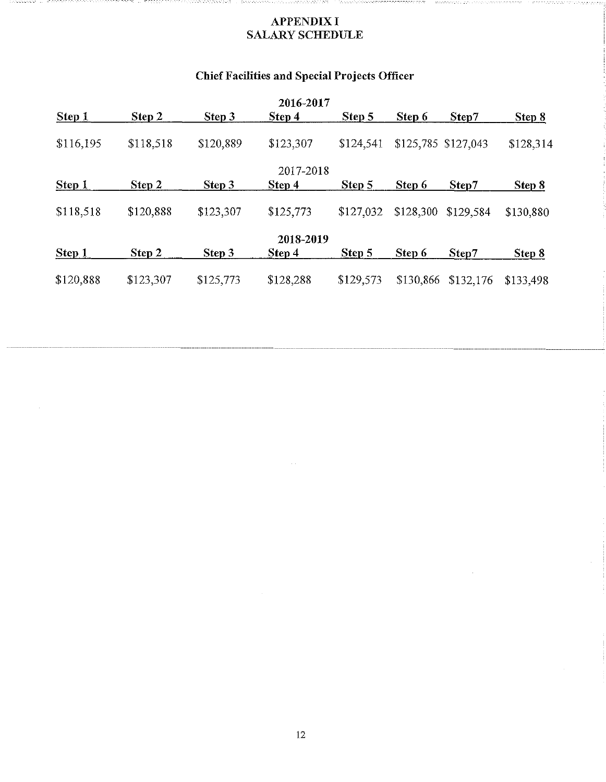## APPENDIX I SALARY SCHEDULE

# **Chief Facilities and Special Projects Officer**

|           |           |           | 2016-2017 |           |           |                     |           |
|-----------|-----------|-----------|-----------|-----------|-----------|---------------------|-----------|
| Step 1    | Step 2    | Step 3    | Step 4    | Step 5    | Step 6    | Step7               | Step 8    |
| \$116,195 | \$118,518 | \$120,889 | \$123,307 | \$124,541 |           | \$125,785 \$127,043 | \$128,314 |
|           |           |           | 2017-2018 |           |           |                     |           |
| Step 1    | Step 2    | Step 3    | Step 4    | Step 5    | Step 6    | Step7               | Step 8    |
| \$118,518 | \$120,888 | \$123,307 | \$125,773 | \$127,032 | \$128,300 | \$129.584           | \$130,880 |
|           |           |           | 2018-2019 |           |           |                     |           |
| Step 1    | Step 2    | Step 3    | Step 4    | Step 5    | Step 6    | Step7               | Step 8    |
| \$120,888 | \$123,307 | \$125,773 | \$128,288 | \$129,573 | \$130,866 | \$132,176           | \$133,498 |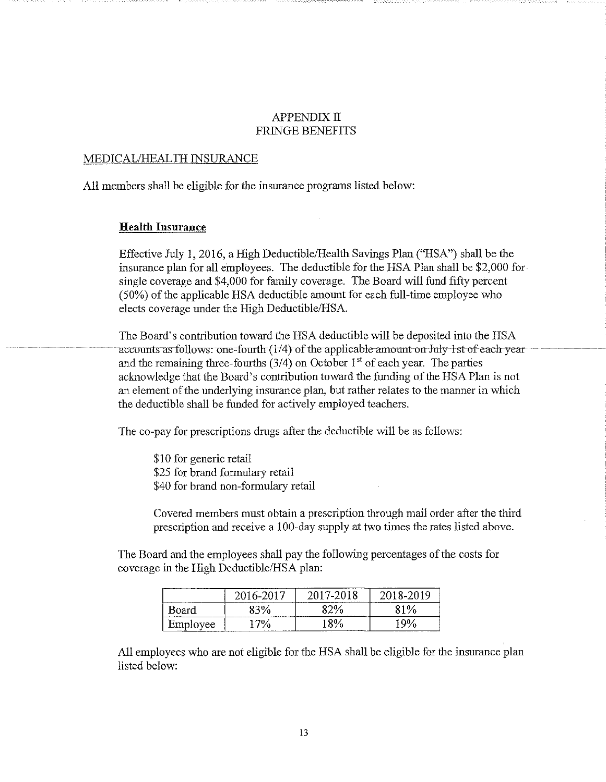#### APPENDIX II FRINGE BENEFITS

#### MEDICAL/HEALTH INSURANCE

All members shall be eligible for the insurance programs listed below:

#### **Health Insurance**

Effective July 1, 2016, a High Deductible/Health Savings Plan ("HSA") shall be the insurance plan for all employees. The deductible for the HSA Plan shall be \$2,000 for· single coverage and \$4,000 for family coverage. The Board will fund fifty percent  $(50%)$  of the applicable HSA deductible amount for each full-time employee who elects coverage under the High Deductible/HSA.

The Board's contribution toward the HSA deductible will be deposited into the HSA accounts as follows: one-fourth  $(1/4)$  of the applicable amount on July 1st of each year and the remaining three-fourths  $(3/4)$  on October 1<sup>st</sup> of each year. The parties acknowledge that the Board's contribution toward the funding of the HSA Plan is not an element of the underlying insurance plan, but rather relates to the manner in which the deductible shall be funded for actively employed teachers.

The co-pay for prescriptions drugs after the deductible will be as follows:

\$10 for generic retail \$25 for brand formulary retail \$40 for brand non-formulary retail

Covered members must obtain a prescription through mail order after the third prescription and receive a 1 OO-day supply at two times the rates listed above.

The Board and the employees shall pay the following percentages of the costs for coverage in the High Deductible/HSA plan:

| ------------<br>__________ | .<br>. | -----<br>---------------- |
|----------------------------|--------|---------------------------|
| ard<br>- - - ------        | _____  | 0,                        |
| صحير<br>------             |        | Ω0.                       |

All employees who are not eligible for the HSA shall be eligible for the insurance plan listed below: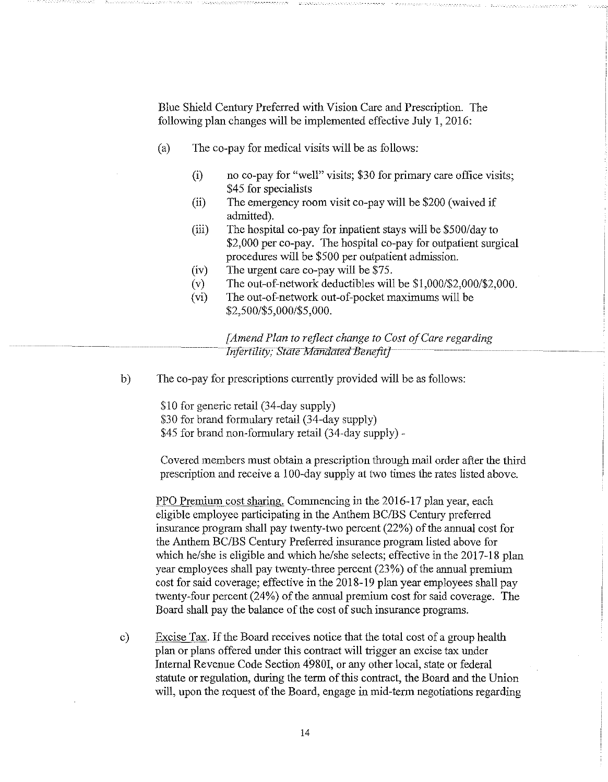Blue Shield Century Preferred with Vision Care and Prescription. The following plan changes will be implemented effective July 1, 2016:

- (a) The co-pay for medical visits will be as follows:
	- (i) no co-pay for "well" visits; \$30 for primary care office visits; \$45 for specialists
	- (ii) The emergency room visit co-pay will be \$200 (waived if admitted).
	- (iii) The hospital co-pay for inpatient stays will be \$500/day to \$2,000 per co-pay. The hospital co-pay for outpatient surgical procedures will be \$500 per outpatient admission.
	- (iv) The urgent care co-pay will be \$75.
	- (v) The out-of-network deductibles will be \$1,000/\$2,000/\$2,000.
	- (vi) The out-of-network out-of-pocket maximums will be \$2,500/\$5,000/\$5,000.

*[Amend Plan to reflect change to Cost a/Care regarding* ..... . ....... ... ...... ...... ..... ..... *····Ii1]ertilitjJ,'SrdreManelaredBenejttJ··\_····* 

b) The co-pay for prescriptions currently provided will be as follows:

\$10 for generic retail (34-day supply)

\$30 for brand formulary retail (34-day supply)

\$45 for brand non-formulary retail (34-day supply) -

Covered members must obtain a prescription through mail order after the third prescription and receive a 100-day supply at two times the rates listed above.

PPO Premium cost sharing. Commencing in the 2016-17 plan year, each eligible employee participating in the Anthem BC/BS Century preferred insurance program shall pay twenty-two percent (22%) of the annual cost for the Anthem BC/BS Century Preferred insurance program listed above for which he/she is eligible and which he/she selects; effective in the 2017-18 plan year employees shall pay twenty-three percent (23%) of the annual premium cost for said coverage; effective in the 2018-19 plan year employees shall pay twenty-four percent (24%) of the annual premium cost for said coverage. The Board shall pay the balance of the cost of such insurance programs.

c) Excise Tax. If the Board receives notice that the total cost of a group health plan or plans offered under this contract will trigger an excise tax under Internal Revenue Code Section 49801, or any other local, state or federal statute or regulation, during the term of this contract, the Board and the Union will, upon the request of the Board, engage in mid-term negotiations regarding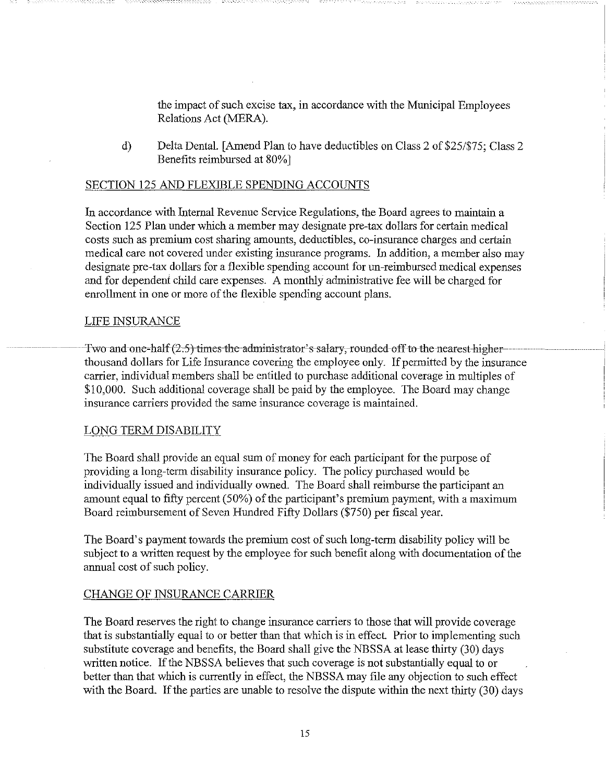the impact of such excise tax, in accordance with the Municipal Employees Relations Act (MERA).

d) Delta Dental. [Amend Plan to have deductibles on Class 2 of \$251\$75; Class 2 Benefits reimbursed at 80% 1

#### SECTION 125 AND FLEXIBLE SPENDING ACCOUNTS

In accordance with Internal Revenue Service Regulations, the Board agrees to maintain a Section 125 Plan under which a member may designate pre-tax dollars for certain medical costs such as premium cost sharing amounts, deductibles, co-insurance charges and certain medical care not covered under existing insurance programs. In addition, a member also may designate pre-tax dollars for a flexible spending account for un-reimbursed medical expenses and for dependent child care expenses. A monthly administrative fee will be charged for enrollment in one or more of the flexible spending account plans.

#### LIFE INSURANCE

Two and one-half  $(2.5)$  times the administrator's salary, rounded off to the nearest higher thousand dollars for Life Insurance covering the employee only. If permitted by the insurance carrier, individual members shall be entitled to purchase additional coverage in multiples of \$10,000. Such additional coverage shall be paid by the employee. The Board may change insurance carriers provided the same insurance coverage is maintained.

#### LONG TERM DISABILITY

The Board shall provide an equal sum of money for each participant for the purpose of providing a long-term disability insurance policy. The policy purchased would be individually issued and individually owned. The Board shall reimburse the participant an amount equal to fifty percent (50%) of the participant's premium payment, with a maximum Board reimbursement of Seven Hundred Fifty Dollars (\$750) per fiscal year.

The Board's payment towards the premium cost of such long-term disability policy will be subject to a written request by the employee for such benefit along with documentation of the annual cost of such policy.

#### CHANGE OF INSURANCE CARRIER

The Board reserves the right to change insurance carriers to those that will provide coverage that is substantially equal to or better than that which is in effect. Prior to implementing such substitute coverage and benefits, the Board shall give the NBSSA at lease thirty (30) days written notice. If the NBSSA believes that such coverage is not substantially equal to or better than that which is currently in effect, the NBSSA may file any objection to such effect with the Board. If the parties are unable to resolve the dispute within the next thirty (30) days